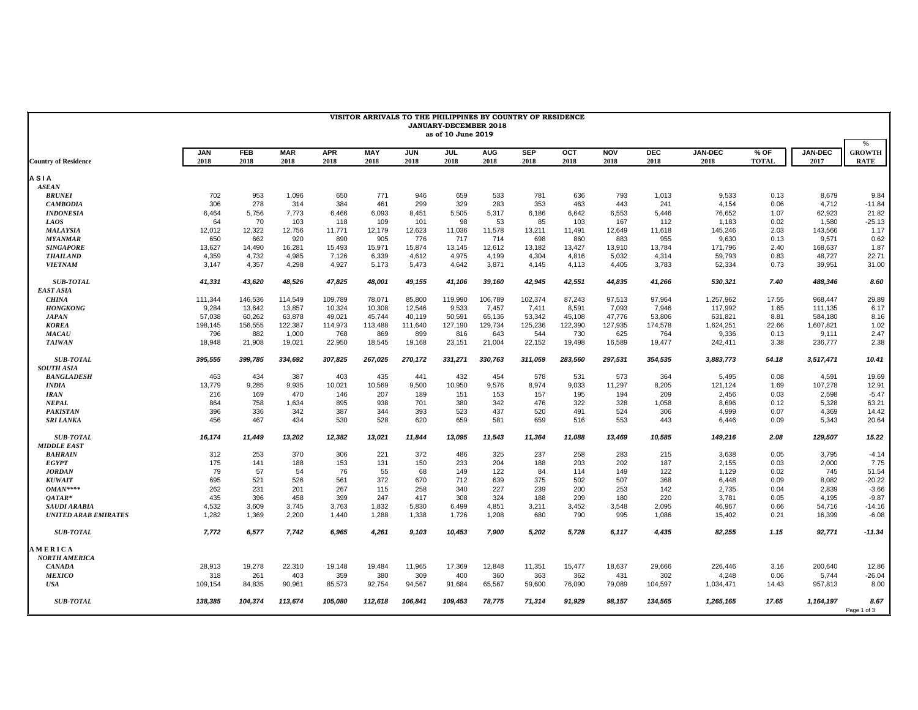| VISITOR ARRIVALS TO THE PHILIPPINES BY COUNTRY OF RESIDENCE<br><b>JANUARY-DECEMBER 2018</b><br>as of 10 June 2019 |            |            |            |            |            |            |            |            |            |         |            |         |                |              |                |                                                   |
|-------------------------------------------------------------------------------------------------------------------|------------|------------|------------|------------|------------|------------|------------|------------|------------|---------|------------|---------|----------------|--------------|----------------|---------------------------------------------------|
|                                                                                                                   | <b>JAN</b> | <b>FEB</b> | <b>MAR</b> | <b>APR</b> | <b>MAY</b> | <b>JUN</b> | <b>JUL</b> | <b>AUG</b> | <b>SEP</b> | OCT     | <b>NOV</b> | DEC     | <b>JAN-DEC</b> | % OF         | <b>JAN-DEC</b> | $\boldsymbol{\theta}/_{\!\!\!0}$<br><b>GROWTH</b> |
| <b>Country of Residence</b>                                                                                       | 2018       | 2018       | 2018       | 2018       | 2018       | 2018       | 2018       | 2018       | 2018       | 2018    | 2018       | 2018    | 2018           | <b>TOTAL</b> | 2017           | RATE                                              |
| <b>ASIA</b>                                                                                                       |            |            |            |            |            |            |            |            |            |         |            |         |                |              |                |                                                   |
| <b>ASEAN</b>                                                                                                      |            |            |            |            |            |            |            |            |            |         |            |         |                |              |                |                                                   |
| <b>BRUNEI</b>                                                                                                     | 702        | 953        | 1,096      | 650        | 771        | 946        | 659        | 533        | 781        | 636     | 793        | 1,013   | 9,533          | 0.13         | 8,679          | 9.84                                              |
| <b>CAMBODIA</b>                                                                                                   | 306        | 278        | 314        | 384        | 461        | 299        | 329        | 283        | 353        | 463     | 443        | 241     | 4,154          | 0.06         | 4,712          | $-11.84$                                          |
| <b>INDONESIA</b>                                                                                                  | 6,464      | 5,756      | 7,773      | 6,466      | 6,093      | 8,451      | 5,505      | 5,317      | 6,186      | 6,642   | 6,553      | 5,446   | 76,652         | 1.07         | 62,923         | 21.82                                             |
| <b>LAOS</b>                                                                                                       | 64         | 70         | 103        | 118        | 109        | 101        | 98         | 53         | 85         | 103     | 167        | 112     | 1,183          | 0.02         | 1,580          | $-25.13$                                          |
| <b>MALAYSIA</b>                                                                                                   | 12,012     | 12,322     | 12,756     | 11,771     | 12,179     | 12,623     | 11,036     | 11,578     | 13,211     | 11,491  | 12,649     | 11,618  | 145,246        | 2.03         | 143,566        | 1.17                                              |
| <b>MYANMAR</b>                                                                                                    | 650        | 662        | 920        | 890        | 905        | 776        | 717        | 714        | 698        | 860     | 883        | 955     | 9,630          | 0.13         | 9,571          | 0.62                                              |
| <b>SINGAPORE</b>                                                                                                  | 13,627     | 14,490     | 16,281     | 15,493     | 15,971     | 15,874     | 13.145     | 12,612     | 13,182     | 13,427  | 13,910     | 13,784  | 171,796        | 2.40         | 168,637        | 1.87                                              |
| <b>THAILAND</b>                                                                                                   | 4,359      | 4,732      | 4,985      | 7,126      | 6,339      | 4,612      | 4,975      | 4,199      | 4,304      | 4,816   | 5,032      | 4,314   | 59,793         | 0.83         | 48,727         | 22.71                                             |
| <b>VIETNAM</b>                                                                                                    | 3,147      | 4,357      | 4,298      | 4,927      | 5,173      | 5,473      | 4.642      | 3,871      | 4,145      | 4,113   | 4,405      | 3,783   | 52,334         | 0.73         | 39,951         | 31.00                                             |
| <b>SUB-TOTAL</b>                                                                                                  | 41,331     | 43,620     | 48,526     | 47,825     | 48,001     | 49,155     | 41,106     | 39,160     | 42,945     | 42,551  | 44,835     | 41,266  | 530,321        | 7.40         | 488,346        | 8.60                                              |
| <b>EAST ASIA</b>                                                                                                  |            |            |            |            |            |            |            |            |            |         |            |         |                |              |                |                                                   |
| <b>CHINA</b>                                                                                                      | 111,344    | 146,536    | 114,549    | 109,789    | 78,071     | 85,800     | 119,990    | 106,789    | 102,374    | 87,243  | 97,513     | 97,964  | 1,257,962      | 17.55        | 968,447        | 29.89                                             |
| <b>HONGKONG</b>                                                                                                   | 9,284      | 13,642     | 13,857     | 10,324     | 10,308     | 12,546     | 9,533      | 7,457      | 7,411      | 8,591   | 7,093      | 7,946   | 117,992        | 1.65         | 111,135        | 6.17                                              |
| <b>JAPAN</b>                                                                                                      | 57,038     | 60,262     | 63,878     | 49,021     | 45,744     | 40,119     | 50,591     | 65,136     | 53,342     | 45,108  | 47,776     | 53,806  | 631,821        | 8.81         | 584,180        | 8.16                                              |
| <b>KOREA</b>                                                                                                      | 198,145    | 156,555    | 122,387    | 114,973    | 113,488    | 111,640    | 127,190    | 129,734    | 125,236    | 122,390 | 127,935    | 174,578 | 1,624,251      | 22.66        | 1,607,821      | 1.02                                              |
| <b>MACAU</b>                                                                                                      | 796        | 882        | 1,000      | 768        | 869        | 899        | 816        | 643        | 544        | 730     | 625        | 764     | 9,336          | 0.13         | 9,111          | 2.47                                              |
| <b>TAIWAN</b>                                                                                                     | 18,948     | 21,908     | 19,021     | 22,950     | 18,545     | 19,168     | 23,151     | 21,004     | 22,152     | 19,498  | 16,589     | 19,477  | 242,411        | 3.38         | 236,777        | 2.38                                              |
| <b>SUB-TOTAL</b>                                                                                                  | 395,555    | 399,785    | 334,692    | 307,825    | 267,025    | 270,172    | 331,271    | 330,763    | 311,059    | 283,560 | 297,531    | 354,535 | 3,883,773      | 54.18        | 3,517,471      | 10.41                                             |
| <b>SOUTH ASIA</b>                                                                                                 |            |            |            |            |            |            |            |            |            |         |            |         |                |              |                |                                                   |
| <b>BANGLADESH</b>                                                                                                 | 463        | 434        | 387        | 403        | 435        | 441        | 432        | 454        | 578        | 531     | 573        | 364     | 5.495          | 0.08         | 4,591          | 19.69                                             |
| <b>INDIA</b>                                                                                                      | 13.779     | 9.285      | 9.935      | 10,021     | 10,569     | 9,500      | 10.950     | 9.576      | 8.974      | 9.033   | 11.297     | 8.205   | 121,124        | 1.69         | 107,278        | 12.91                                             |
| <b>IRAN</b>                                                                                                       | 216        | 169        | 470        | 146        | 207        | 189        | 151        | 153        | 157        | 195     | 194        | 209     | 2,456          | 0.03         | 2,598          | $-5.47$                                           |
| <b>NEPAL</b>                                                                                                      | 864        | 758        | 1,634      | 895        | 938        | 701        | 380        | 342        | 476        | 322     | 328        | 1,058   | 8,696          | 0.12         | 5,328          | 63.21                                             |
| <b>PAKISTAN</b>                                                                                                   | 396        | 336        | 342        | 387        | 344        | 393        | 523        | 437        | 520        | 491     | 524        | 306     | 4,999          | 0.07         | 4,369          | 14.42                                             |
| <b>SRI LANKA</b>                                                                                                  | 456        | 467        | 434        | 530        | 528        | 620        | 659        | 581        | 659        | 516     | 553        | 443     | 6,446          | 0.09         | 5,343          | 20.64                                             |
| <b>SUB-TOTAL</b>                                                                                                  | 16,174     | 11,449     | 13,202     | 12,382     | 13,021     | 11,844     | 13,095     | 11,543     | 11,364     | 11,088  | 13,469     | 10,585  | 149,216        | 2.08         | 129,507        | 15.22                                             |
| <b>MIDDLE EAST</b>                                                                                                |            |            |            |            |            |            |            |            |            |         |            |         |                |              |                |                                                   |
| <b>BAHRAIN</b>                                                                                                    | 312        | 253        | 370        | 306        | 221        | 372        | 486        | 325        | 237        | 258     | 283        | 215     | 3,638          | 0.05         | 3,795          | $-4.14$                                           |
| <b>EGYPT</b>                                                                                                      | 175        | 141        | 188        | 153        | 131        | 150        | 233        | 204        | 188        | 203     | 202        | 187     | 2,155          | 0.03         | 2.000          | 7.75                                              |
| <b>JORDAN</b>                                                                                                     | 79         | 57         | 54         | 76         | 55         | 68         | 149        | 122        | 84         | 114     | 149        | 122     | 1,129          | 0.02         | 745            | 51.54                                             |
| <b>KUWAIT</b>                                                                                                     | 695        | 521        | 526        | 561        | 372        | 670        | 712        | 639        | 375        | 502     | 507        | 368     | 6,448          | 0.09         | 8,082          | $-20.22$                                          |
| $OMAN***$                                                                                                         | 262        | 231        | 201        | 267        | 115        | 258        | 340        | 227        | 239        | 200     | 253        | 142     | 2,735          | 0.04         | 2,839          | $-3.66$                                           |
| $QATAR*$                                                                                                          | 435        | 396        | 458        | 399        | 247        | 417        | 308        | 324        | 188        | 209     | 180        | 220     | 3,781          | 0.05         | 4,195          | $-9.87$                                           |
| <b>SAUDI ARABIA</b>                                                                                               | 4,532      | 3,609      | 3,745      | 3,763      | 1,832      | 5,830      | 6,499      | 4,851      | 3,211      | 3,452   | 3,548      | 2,095   | 46,967         | 0.66         | 54,716         | $-14.16$                                          |
| <b>UNITED ARAB EMIRATES</b>                                                                                       | 1,282      | 1,369      | 2,200      | 1,440      | 1,288      | 1,338      | 1,726      | 1,208      | 680        | 790     | 995        | 1,086   | 15,402         | 0.21         | 16,399         | $-6.08$                                           |
| <b>SUB-TOTAL</b>                                                                                                  | 7,772      | 6,577      | 7,742      | 6,965      | 4,261      | 9,103      | 10,453     | 7,900      | 5,202      | 5,728   | 6,117      | 4,435   | 82,255         | 1.15         | 92,771         | $-11.34$                                          |
| AMERICA                                                                                                           |            |            |            |            |            |            |            |            |            |         |            |         |                |              |                |                                                   |
| <b>NORTH AMERICA</b>                                                                                              |            |            |            |            |            |            |            |            |            |         |            |         |                |              |                |                                                   |
| <b>CANADA</b>                                                                                                     | 28,913     | 19,278     | 22,310     | 19,148     | 19,484     | 11,965     | 17,369     | 12,848     | 11,351     | 15,477  | 18,637     | 29,666  | 226,446        | 3.16         | 200,640        | 12.86                                             |
| <b>MEXICO</b>                                                                                                     | 318        | 261        | 403        | 359        | 380        | 309        | 400        | 360        | 363        | 362     | 431        | 302     | 4,248          | 0.06         | 5,744          | $-26.04$                                          |
| <b>USA</b>                                                                                                        | 109,154    | 84,835     | 90,961     | 85,573     | 92,754     | 94,567     | 91,684     | 65,567     | 59,600     | 76,090  | 79,089     | 104,597 | 1,034,471      | 14.43        | 957,813        | 8.00                                              |
| <b>SUB-TOTAL</b>                                                                                                  | 138.385    | 104,374    | 113.674    | 105.080    | 112.618    | 106.841    | 109.453    | 78,775     | 71.314     | 91.929  | 98.157     | 134.565 | 1,265,165      | 17.65        | 1.164.197      | 8.67<br>Page 1 of 3                               |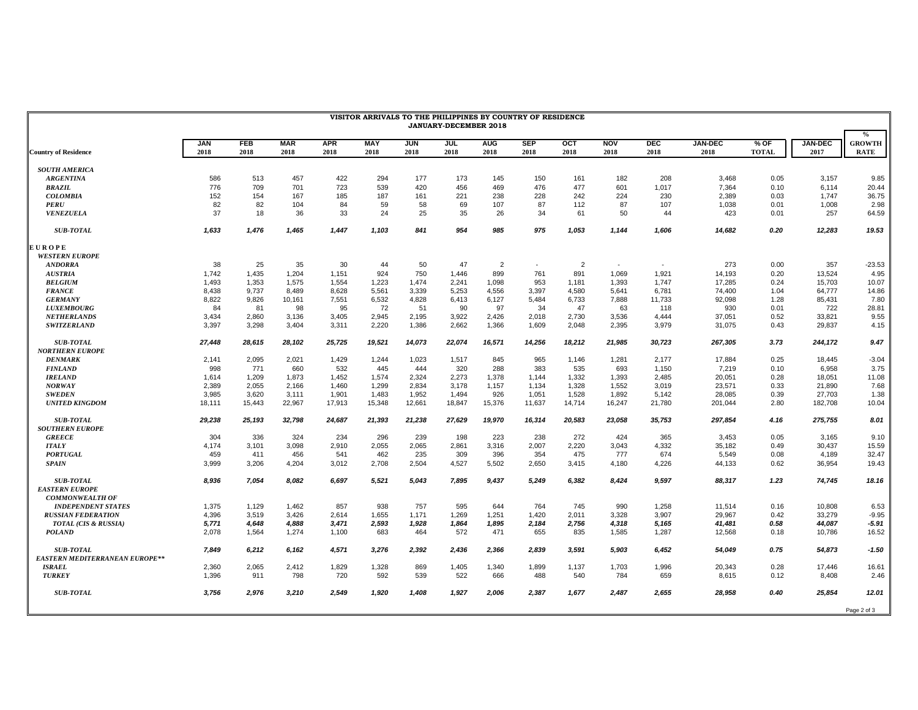| VISITOR ARRIVALS TO THE PHILIPPINES BY COUNTRY OF RESIDENCE<br><b>JANUARY-DECEMBER 2018</b> |                    |                    |                    |                    |                    |                    |                    |                    |                    |                         |                    |                    |                        |                        |                        |                                               |
|---------------------------------------------------------------------------------------------|--------------------|--------------------|--------------------|--------------------|--------------------|--------------------|--------------------|--------------------|--------------------|-------------------------|--------------------|--------------------|------------------------|------------------------|------------------------|-----------------------------------------------|
| <b>Country of Residence</b>                                                                 | <b>JAN</b><br>2018 | <b>FEB</b><br>2018 | <b>MAR</b><br>2018 | <b>APR</b><br>2018 | <b>MAY</b><br>2018 | <b>JUN</b><br>2018 | <b>JUL</b><br>2018 | <b>AUG</b><br>2018 | <b>SEP</b><br>2018 | $_{\text{oct}}$<br>2018 | <b>NOV</b><br>2018 | <b>DEC</b><br>2018 | <b>JAN-DEC</b><br>2018 | $%$ OF<br><b>TOTAL</b> | <b>JAN-DEC</b><br>2017 | $\frac{0}{0}$<br><b>GROWTH</b><br><b>RATE</b> |
|                                                                                             |                    |                    |                    |                    |                    |                    |                    |                    |                    |                         |                    |                    |                        |                        |                        |                                               |
| <b>SOUTH AMERICA</b>                                                                        |                    |                    |                    |                    |                    |                    |                    |                    |                    |                         |                    |                    |                        |                        |                        |                                               |
| <b>ARGENTINA</b>                                                                            | 586                | 513                | 457                | 422                | 294                | 177                | 173                | 145                | 150                | 161                     | 182                | 208                | 3.468                  | 0.05                   | 3.157                  | 9.85                                          |
| <b>BRAZIL</b>                                                                               | 776                | 709                | 701                | 723                | 539                | 420                | 456                | 469                | 476                | 477                     | 601                | 1.017              | 7,364                  | 0.10                   | 6.114                  | 20.44                                         |
| <b>COLOMBIA</b>                                                                             | 152                | 154                | 167                | 185                | 187                | 161                | 221                | 238                | 228                | 242                     | 224                | 230                | 2,389                  | 0.03                   | 1,747                  | 36.75                                         |
| <b>PERU</b>                                                                                 | 82                 | 82                 | 104                | 84                 | 59                 | 58                 | 69                 | 107                | 87                 | 112                     | 87                 | 107                | 1,038                  | 0.01                   | 1,008                  | 2.98                                          |
| <b>VENEZUELA</b>                                                                            | 37                 | 18                 | 36                 | 33                 | 24                 | 25                 | 35                 | 26                 | 34                 | 61                      | 50                 | 44                 | 423                    | 0.01                   | 257                    | 64.59                                         |
| <b>SUB-TOTAL</b>                                                                            | 1,633              | 1,476              | 1,465              | 1,447              | 1,103              | 841                | 954                | 985                | 975                | 1,053                   | 1,144              | 1,606              | 14,682                 | 0.20                   | 12,283                 | 19.53                                         |
| <b>EUROPE</b>                                                                               |                    |                    |                    |                    |                    |                    |                    |                    |                    |                         |                    |                    |                        |                        |                        |                                               |
| <b>WESTERN EUROPE</b>                                                                       |                    |                    |                    |                    |                    |                    |                    |                    |                    |                         |                    |                    |                        |                        |                        |                                               |
| <b>ANDORRA</b>                                                                              | 38                 | 25                 | 35                 | 30                 | 44                 | 50                 | 47                 | $\overline{2}$     | $\sim$             | $\overline{2}$          | $\sim$             | $\sim$             | 273                    | 0.00                   | 357                    | $-23.53$                                      |
| <b>AUSTRIA</b>                                                                              | 1,742              | 1,435              | 1,204              | 1,151              | 924                | 750                | 1,446              | 899                | 761                | 891                     | 1,069              | 1,921              | 14,193                 | 0.20                   | 13,524                 | 4.95                                          |
| <b>BELGIUM</b>                                                                              | 1,493              | 1,353              | 1,575              | 1,554              | 1,223              | 1,474              | 2,241              | 1,098              | 953                | 1,181                   | 1,393              | 1,747              | 17,285                 | 0.24                   | 15,703                 | 10.07                                         |
| <b>FRANCE</b>                                                                               | 8,438              | 9,737              | 8.489              | 8.628              | 5,561              | 3,339              | 5.253              | 4,556              | 3,397              | 4.580                   | 5,641              | 6,781              | 74,400                 | 1.04                   | 64,777                 | 14.86                                         |
| <b>GERMANY</b>                                                                              | 8,822              | 9,826              | 10,161             | 7,551              | 6,532              | 4,828              | 6,413              | 6,127              | 5,484              | 6,733                   | 7,888              | 11,733             | 92,098                 | 1.28                   | 85,431                 | 7.80                                          |
| <b>LUXEMBOURG</b>                                                                           | 84                 | 81                 | 98                 | 95                 | 72                 | 51                 | 90                 | 97                 | 34                 | 47                      | 63                 | 118                | 930                    | 0.01                   | 722                    | 28.81                                         |
| <b>NETHERLANDS</b>                                                                          | 3.434              | 2,860              | 3,136              | 3,405              | 2.945              | 2,195              | 3.922              | 2,426              | 2,018              | 2,730                   | 3.536              | 4.444              | 37.051                 | 0.52                   | 33.821                 | 9.55                                          |
| <b>SWITZERLAND</b>                                                                          | 3,397              | 3,298              | 3,404              | 3,311              | 2,220              | 1,386              | 2,662              | 1,366              | 1,609              | 2,048                   | 2,395              | 3,979              | 31,075                 | 0.43                   | 29,837                 | 4.15                                          |
| <b>SUB-TOTAL</b>                                                                            | 27,448             | 28,615             | 28,102             | 25,725             | 19,521             | 14,073             | 22,074             | 16,571             | 14,256             | 18,212                  | 21,985             | 30,723             | 267,305                | 3.73                   | 244,172                | 9.47                                          |
| <b>NORTHERN EUROPE</b>                                                                      |                    |                    |                    |                    |                    |                    |                    |                    |                    |                         |                    |                    |                        |                        |                        |                                               |
| <b>DENMARK</b>                                                                              | 2,141              | 2,095              | 2,021              | 1,429              | 1,244              | 1,023              | 1,517              | 845                | 965                | 1,146                   | 1,281              | 2,177              | 17,884                 | 0.25                   | 18,445                 | $-3.04$                                       |
| <b>FINLAND</b>                                                                              | 998                | 771                | 660                | 532                | 445                | 444                | 320                | 288                | 383                | 535                     | 693                | 1,150              | 7,219                  | 0.10                   | 6,958                  | 3.75                                          |
| <b>IRELAND</b>                                                                              | 1,614              | 1,209              | 1,873              | 1,452              | 1,574              | 2,324              | 2,273              | 1,378              | 1,144              | 1,332                   | 1,393              | 2,485              | 20,051                 | 0.28                   | 18,051                 | 11.08                                         |
| NORWAY                                                                                      | 2,389              | 2,055              | 2,166              | 1,460              | 1,299              | 2,834              | 3,178              | 1,157              | 1,134              | 1,328                   | 1,552              | 3,019              | 23,571                 | 0.33                   | 21,890                 | 7.68                                          |
| <b>SWEDEN</b>                                                                               | 3,985              | 3,620              | 3,111              | 1,901              | 1,483              | 1,952              | 1,494              | 926                | 1,051              | 1,528                   | 1,892              | 5,142              | 28,085                 | 0.39                   | 27,703                 | 1.38                                          |
| <b>UNITED KINGDOM</b>                                                                       | 18,111             | 15,443             | 22,967             | 17,913             | 15,348             | 12,661             | 18,847             | 15,376             | 11,637             | 14,714                  | 16,247             | 21,780             | 201,044                | 2.80                   | 182,708                | 10.04                                         |
|                                                                                             |                    |                    |                    |                    |                    |                    |                    |                    |                    |                         |                    |                    |                        |                        |                        |                                               |
| <b>SUB-TOTAL</b>                                                                            | 29,238             | 25,193             | 32,798             | 24,687             | 21,393             | 21,238             | 27,629             | 19,970             | 16,314             | 20,583                  | 23,058             | 35,753             | 297,854                | 4.16                   | 275,755                | 8.01                                          |
| <b>SOUTHERN EUROPE</b>                                                                      |                    |                    |                    |                    |                    |                    |                    |                    |                    |                         |                    |                    |                        |                        |                        |                                               |
| <b>GREECE</b>                                                                               | 304                | 336                | 324                | 234                | 296                | 239                | 198                | 223                | 238                | 272                     | 424                | 365                | 3,453                  | 0.05                   | 3,165                  | 9.10                                          |
| <b>ITALY</b>                                                                                | 4,174              | 3.101              | 3,098              | 2,910              | 2.055              | 2,065              | 2,861              | 3,316              | 2,007              | 2.220                   | 3,043              | 4,332              | 35.182                 | 0.49                   | 30.437                 | 15.59                                         |
| <b>PORTUGAL</b>                                                                             | 459                | 411                | 456                | 541                | 462                | 235                | 309                | 396                | 354                | 475                     | 777                | 674                | 5,549                  | 0.08                   | 4,189                  | 32.47                                         |
| <b>SPAIN</b>                                                                                | 3,999              | 3,206              | 4,204              | 3,012              | 2,708              | 2,504              | 4,527              | 5,502              | 2,650              | 3,415                   | 4,180              | 4,226              | 44,133                 | 0.62                   | 36,954                 | 19.43                                         |
| <b>SUB-TOTAL</b>                                                                            | 8,936              | 7,054              | 8,082              | 6,697              | 5,521              | 5,043              | 7,895              | 9,437              | 5,249              | 6,382                   | 8,424              | 9,597              | 88,317                 | 1.23                   | 74,745                 | 18.16                                         |
| <b>EASTERN EUROPE</b>                                                                       |                    |                    |                    |                    |                    |                    |                    |                    |                    |                         |                    |                    |                        |                        |                        |                                               |
| <b>COMMONWEALTH OF</b>                                                                      |                    |                    |                    |                    |                    |                    |                    |                    |                    |                         |                    |                    |                        |                        |                        |                                               |
| <b>INDEPENDENT STATES</b>                                                                   | 1,375              | 1,129              | 1,462              | 857                | 938                | 757                | 595                | 644                | 764                | 745                     | 990                | 1,258              | 11,514                 | 0.16                   | 10,808                 | 6.53                                          |
| <b>RUSSIAN FEDERATION</b>                                                                   | 4,396              | 3,519              | 3,426              | 2,614              | 1,655              | 1,171              | 1,269              | 1,251              | 1,420              | 2,011                   | 3,328              | 3,907              | 29,967                 | 0.42                   | 33,279                 | $-9.95$                                       |
| TOTAL (CIS & RUSSIA)                                                                        | 5,771              | 4,648              | 4,888              | 3,471              | 2,593              | 1,928              | 1,864              | 1,895              | 2,184              | 2,756                   | 4,318              | 5,165              | 41,481                 | 0.58                   | 44,087                 | -5.91                                         |
| <b>POLAND</b>                                                                               | 2,078              | 1,564              | 1,274              | 1,100              | 683                | 464                | 572                | 471                | 655                | 835                     | 1,585              | 1,287              | 12,568                 | 0.18                   | 10,786                 | 16.52                                         |
| <b>SUB-TOTAL</b>                                                                            | 7.849              | 6.212              | 6,162              | 4,571              | 3,276              | 2,392              | 2.436              | 2,366              | 2,839              | 3,591                   | 5,903              | 6,452              | 54,049                 | 0.75                   | 54,873                 | $-1.50$                                       |
| <b>EASTERN MEDITERRANEAN EUROPE**</b>                                                       |                    |                    |                    |                    |                    |                    |                    |                    |                    |                         |                    |                    |                        |                        |                        |                                               |
| <b>ISRAEL</b>                                                                               | 2,360              | 2,065              | 2,412              | 1,829              | 1,328              | 869                | 1,405              | 1,340              | 1,899              | 1,137                   | 1,703              | 1,996              | 20,343                 | 0.28                   | 17,446                 | 16.61                                         |
| <b>TURKEY</b>                                                                               | 1,396              | 911                | 798                | 720                | 592                | 539                | 522                | 666                | 488                | 540                     | 784                | 659                | 8,615                  | 0.12                   | 8.408                  | 2.46                                          |
| <b>SUB-TOTAL</b>                                                                            | 3,756              | 2,976              | 3,210              | 2,549              | 1,920              | 1,408              | 1.927              | 2,006              | 2,387              | 1,677                   | 2,487              | 2,655              | 28,958                 | 0.40                   | 25,854                 | 12.01                                         |
|                                                                                             |                    |                    |                    |                    |                    |                    |                    |                    |                    |                         |                    |                    |                        |                        |                        | Page 2 of 3                                   |